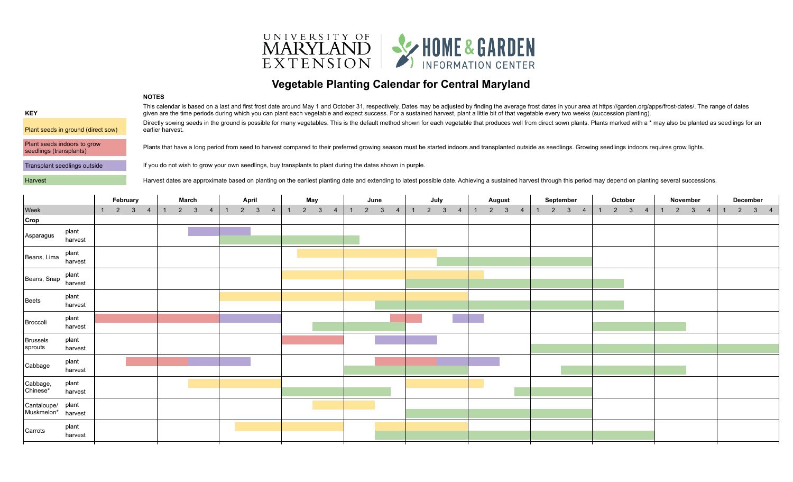

## **Vegetable Planting Calendar for Central Maryland**

|                                                        | 11776                                                                                                                                                                                                                                                                                                                                                                                                                           |
|--------------------------------------------------------|---------------------------------------------------------------------------------------------------------------------------------------------------------------------------------------------------------------------------------------------------------------------------------------------------------------------------------------------------------------------------------------------------------------------------------|
| <b>KEY</b>                                             | This calendar is based on a last and first frost date around May 1 and October 31, respectively. Dates may be adjusted by finding the average frost dates in your area at https://garden.org/apps/frost-dates/. The range of d<br>given are the time periods during which you can plant each vegetable and expect success. For a sustained harvest, plant a little bit of that vegetable every two weeks (succession planting). |
| Plant seeds in ground (direct sow)                     | Directly sowing seeds in the ground is possible for many vegetables. This is the default method shown for each vegetable that produces well from direct sown plants. Plants marked with a * may also be planted as seedlings f<br>earlier harvest.                                                                                                                                                                              |
| Plant seeds indoors to grow<br>seedlings (transplants) | Plants that have a long period from seed to harvest compared to their preferred growing season must be started indoors and transplanted outside as seedlings. Growing seedlings indoors requires grow lights.                                                                                                                                                                                                                   |
| Transplant seedlings outside                           | If you do not wish to grow your own seedlings, buy transplants to plant during the dates shown in purple.                                                                                                                                                                                                                                                                                                                       |
|                                                        |                                                                                                                                                                                                                                                                                                                                                                                                                                 |

**NOTES**

Harvest Harvest dates are approximate based on planting on the earliest planting date and extending to latest possible date. Achieving a sustained harvest through this period may depend on planting several successions.

|                                         |                  | February       |             | March |  | April                          |                | May |             |                | June           |  |                       | July |             | <b>August</b>  |                |             | September      |                                | October | November |                                |                |             | December |  |  |                                |  |  |                       |  |
|-----------------------------------------|------------------|----------------|-------------|-------|--|--------------------------------|----------------|-----|-------------|----------------|----------------|--|-----------------------|------|-------------|----------------|----------------|-------------|----------------|--------------------------------|---------|----------|--------------------------------|----------------|-------------|----------|--|--|--------------------------------|--|--|-----------------------|--|
| Week                                    |                  | $\blacksquare$ | $2 \t3 \t4$ |       |  | $1 \qquad 2 \qquad 3 \qquad 4$ | $\overline{1}$ |     | $2 \quad 3$ | $\overline{4}$ | $\overline{1}$ |  | $2 \qquad 3 \qquad 4$ |      | $2 \quad 3$ | $\overline{4}$ | $\overline{1}$ | $2 \quad 3$ | $\overline{4}$ | $1 \qquad 2 \qquad 3 \qquad 4$ |         |          | $1 \qquad 2 \qquad 3 \qquad 4$ | $\overline{1}$ | $2 \t3 \t4$ |          |  |  | $1 \qquad 2 \qquad 3 \qquad 4$ |  |  | $2 \qquad 3 \qquad 4$ |  |
| Crop                                    |                  |                |             |       |  |                                |                |     |             |                |                |  |                       |      |             |                |                |             |                |                                |         |          |                                |                |             |          |  |  |                                |  |  |                       |  |
| Asparagus                               | plant<br>harvest |                |             |       |  |                                |                |     |             |                |                |  |                       |      |             |                |                |             |                |                                |         |          |                                |                |             |          |  |  |                                |  |  |                       |  |
| Beans, Lima                             | plant<br>harvest |                |             |       |  |                                |                |     |             |                |                |  |                       |      |             |                |                |             |                |                                |         |          |                                |                |             |          |  |  |                                |  |  |                       |  |
| Beans, Snap $\lim_{\text{harvest}}$     | plant            |                |             |       |  |                                |                |     |             |                |                |  |                       |      |             |                |                |             |                |                                |         |          |                                |                |             |          |  |  |                                |  |  |                       |  |
| Beets                                   | plant<br>harvest |                |             |       |  |                                |                |     |             |                |                |  |                       |      |             |                |                |             |                |                                |         |          |                                |                |             |          |  |  |                                |  |  |                       |  |
| Broccoli                                | plant<br>harvest |                |             |       |  |                                |                |     |             |                |                |  |                       |      |             |                |                |             |                |                                |         |          |                                |                |             |          |  |  |                                |  |  |                       |  |
| Brussels<br>sprouts                     | plant<br>harvest |                |             |       |  |                                |                |     |             |                |                |  |                       |      |             |                |                |             |                |                                |         |          |                                |                |             |          |  |  |                                |  |  |                       |  |
| Cabbage                                 | plant<br>harvest |                |             |       |  |                                |                |     |             |                |                |  |                       |      |             |                |                |             |                |                                |         |          |                                |                |             |          |  |  |                                |  |  |                       |  |
| Cabbage,<br>Chinese*                    | plant<br>harvest |                |             |       |  |                                |                |     |             |                |                |  |                       |      |             |                |                |             |                |                                |         |          |                                |                |             |          |  |  |                                |  |  |                       |  |
| Cantaloupe/ plant<br>Muskmelon* harvest |                  |                |             |       |  |                                |                |     |             |                |                |  |                       |      |             |                |                |             |                |                                |         |          |                                |                |             |          |  |  |                                |  |  |                       |  |
| Carrots                                 | plant<br>harvest |                |             |       |  |                                |                |     |             |                |                |  |                       |      |             |                |                |             |                |                                |         |          |                                |                |             |          |  |  |                                |  |  |                       |  |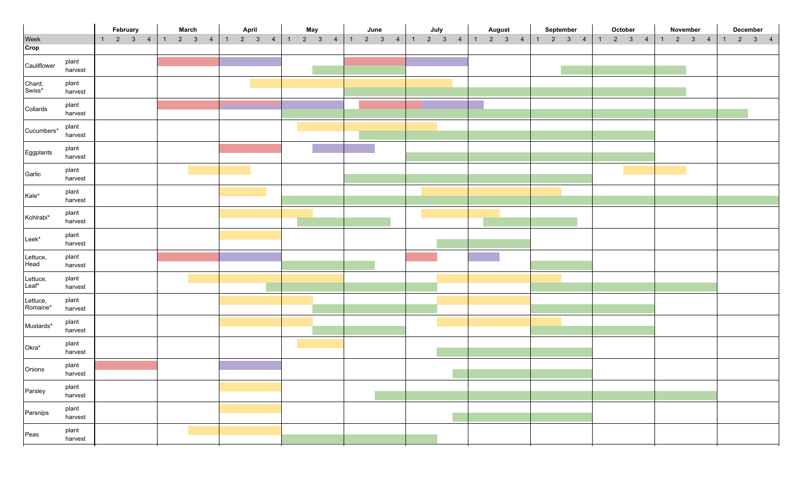|                      |                  | February                       | <b>March</b>                   | April                          | May                            | June                           | July                  |                         | August                                          | September | October                                         | November | December                                      |
|----------------------|------------------|--------------------------------|--------------------------------|--------------------------------|--------------------------------|--------------------------------|-----------------------|-------------------------|-------------------------------------------------|-----------|-------------------------------------------------|----------|-----------------------------------------------|
| Week                 |                  | $1 \qquad 2 \qquad 3 \qquad 4$ | $1 \qquad 2 \qquad 3 \qquad 4$ | $1 \qquad 2 \qquad 3 \qquad 4$ | $1 \qquad 2 \qquad 3 \qquad 4$ | $1 \qquad 2 \qquad 3 \qquad 4$ | $1 \qquad 2 \qquad 3$ | $\overline{\mathbf{4}}$ | $\begin{array}{cccc} 1 & 2 & 3 & 4 \end{array}$ |           | $1 \t2 \t3 \t4 \t1 \t2 \t3 \t4 \t1 \t2 \t3 \t4$ |          | $\begin{vmatrix} 1 & 2 & 3 & 4 \end{vmatrix}$ |
| Crop                 |                  |                                |                                |                                |                                |                                |                       |                         |                                                 |           |                                                 |          |                                               |
| Cauliflower          | plant<br>harvest |                                |                                |                                |                                |                                |                       |                         |                                                 |           |                                                 |          |                                               |
| Chard,<br>Swiss*     | plant<br>harvest |                                |                                |                                |                                |                                |                       |                         |                                                 |           |                                                 |          |                                               |
| Collards             | plant<br>harvest |                                |                                |                                |                                |                                |                       |                         |                                                 |           |                                                 |          |                                               |
| Cucumbers*           | plant<br>harvest |                                |                                |                                |                                |                                |                       |                         |                                                 |           |                                                 |          |                                               |
| Eggplants            | plant<br>harvest |                                |                                |                                |                                |                                |                       |                         |                                                 |           |                                                 |          |                                               |
| Garlic               | plant<br>harvest |                                |                                |                                |                                |                                |                       |                         |                                                 |           |                                                 |          |                                               |
| Kale*                | plant<br>harvest |                                |                                |                                |                                |                                |                       |                         |                                                 |           |                                                 |          |                                               |
| Kohlrabi*            | plant<br>harvest |                                |                                |                                |                                |                                |                       |                         |                                                 |           |                                                 |          |                                               |
| Leek*                | plant<br>harvest |                                |                                |                                |                                |                                |                       |                         |                                                 |           |                                                 |          |                                               |
| Lettuce,<br>Head     | plant<br>harvest |                                |                                |                                |                                |                                |                       |                         |                                                 |           |                                                 |          |                                               |
| Lettuce,<br>Leaf*    | plant<br>harvest |                                |                                |                                |                                |                                |                       |                         |                                                 |           |                                                 |          |                                               |
| Lettuce,<br>Romaine* | plant<br>harvest |                                |                                |                                |                                |                                |                       |                         |                                                 |           |                                                 |          |                                               |
| Mustards*            | plant<br>harvest |                                |                                |                                |                                |                                |                       |                         |                                                 |           |                                                 |          |                                               |
| Okra*                | plant<br>harvest |                                |                                |                                |                                |                                |                       |                         |                                                 |           |                                                 |          |                                               |
| Onions               | plant<br>harvest |                                |                                |                                |                                |                                |                       |                         |                                                 |           |                                                 |          |                                               |
| Parsley              | plant<br>harvest |                                |                                |                                |                                |                                |                       |                         |                                                 |           |                                                 |          |                                               |
| Parsnips             | plant<br>harvest |                                |                                |                                |                                |                                |                       |                         |                                                 |           |                                                 |          |                                               |
| Peas                 | plant<br>harvest |                                |                                |                                |                                |                                |                       |                         |                                                 |           |                                                 |          |                                               |